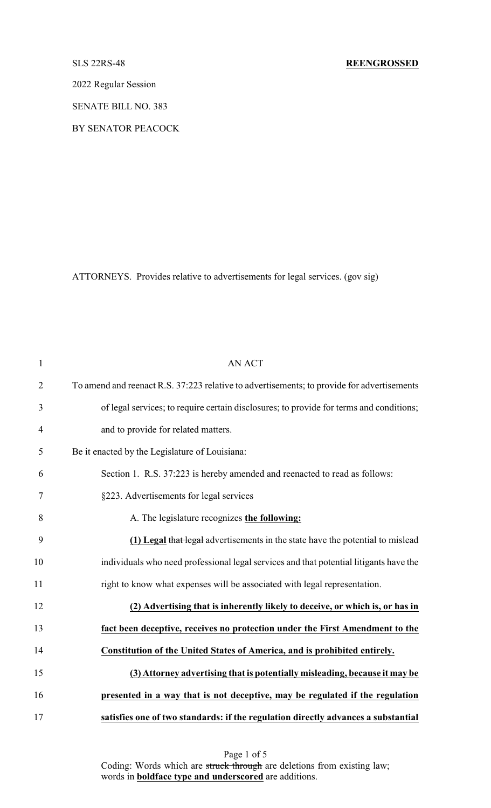2022 Regular Session

SENATE BILL NO. 383

BY SENATOR PEACOCK

ATTORNEYS. Provides relative to advertisements for legal services. (gov sig)

| $\mathbf{1}$   | <b>AN ACT</b>                                                                              |
|----------------|--------------------------------------------------------------------------------------------|
| $\overline{2}$ | To amend and reenact R.S. 37:223 relative to advertisements; to provide for advertisements |
| 3              | of legal services; to require certain disclosures; to provide for terms and conditions;    |
| $\overline{4}$ | and to provide for related matters.                                                        |
| 5              | Be it enacted by the Legislature of Louisiana:                                             |
| 6              | Section 1. R.S. 37:223 is hereby amended and reenacted to read as follows:                 |
| 7              | §223. Advertisements for legal services                                                    |
| 8              | A. The legislature recognizes the following:                                               |
| 9              | (1) Legal that legal advertisements in the state have the potential to mislead             |
| 10             | individuals who need professional legal services and that potential litigants have the     |
| 11             | right to know what expenses will be associated with legal representation.                  |
| 12             | (2) Advertising that is inherently likely to deceive, or which is, or has in               |
| 13             | fact been deceptive, receives no protection under the First Amendment to the               |
| 14             | Constitution of the United States of America, and is prohibited entirely.                  |
| 15             | (3) Attorney advertising that is potentially misleading, because it may be                 |
| 16             | presented in a way that is not deceptive, may be regulated if the regulation               |
| 17             | satisfies one of two standards: if the regulation directly advances a substantial          |

Page 1 of 5 Coding: Words which are struck through are deletions from existing law; words in **boldface type and underscored** are additions.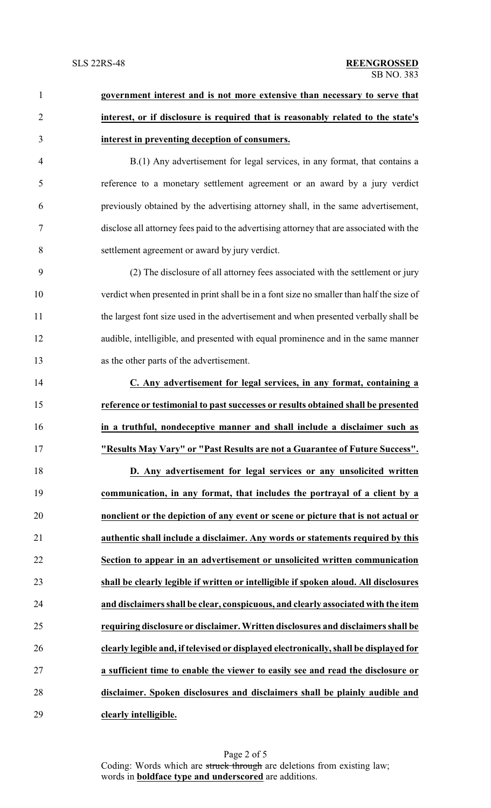| $\mathbf{1}$   | government interest and is not more extensive than necessary to serve that               |
|----------------|------------------------------------------------------------------------------------------|
| $\overline{2}$ | interest, or if disclosure is required that is reasonably related to the state's         |
| 3              | interest in preventing deception of consumers.                                           |
| $\overline{4}$ | B.(1) Any advertisement for legal services, in any format, that contains a               |
| 5              | reference to a monetary settlement agreement or an award by a jury verdict               |
| 6              | previously obtained by the advertising attorney shall, in the same advertisement,        |
| 7              | disclose all attorney fees paid to the advertising attorney that are associated with the |
| $8\,$          | settlement agreement or award by jury verdict.                                           |
| 9              | (2) The disclosure of all attorney fees associated with the settlement or jury           |
| 10             | verdict when presented in print shall be in a font size no smaller than half the size of |
| 11             | the largest font size used in the advertisement and when presented verbally shall be     |
| 12             | audible, intelligible, and presented with equal prominence and in the same manner        |
| 13             | as the other parts of the advertisement.                                                 |
| 14             | C. Any advertisement for legal services, in any format, containing a                     |
| 15             | reference or testimonial to past successes or results obtained shall be presented        |
| 16             | in a truthful, nondeceptive manner and shall include a disclaimer such as                |
| 17             | "Results May Vary" or "Past Results are not a Guarantee of Future Success".              |
| 18             | D. Any advertisement for legal services or any unsolicited written                       |
| 19             | communication, in any format, that includes the portrayal of a client by a               |
| 20             | nonclient or the depiction of any event or scene or picture that is not actual or        |
| 21             | authentic shall include a disclaimer. Any words or statements required by this           |
| 22             | Section to appear in an advertisement or unsolicited written communication               |
| 23             | shall be clearly legible if written or intelligible if spoken aloud. All disclosures     |
| 24             | and disclaimers shall be clear, conspicuous, and clearly associated with the item        |
| 25             | requiring disclosure or disclaimer. Written disclosures and disclaimers shall be         |
| 26             | clearly legible and, if televised or displayed electronically, shall be displayed for    |
| 27             | a sufficient time to enable the viewer to easily see and read the disclosure or          |
| 28             | disclaimer. Spoken disclosures and disclaimers shall be plainly audible and              |
| 29             | clearly intelligible.                                                                    |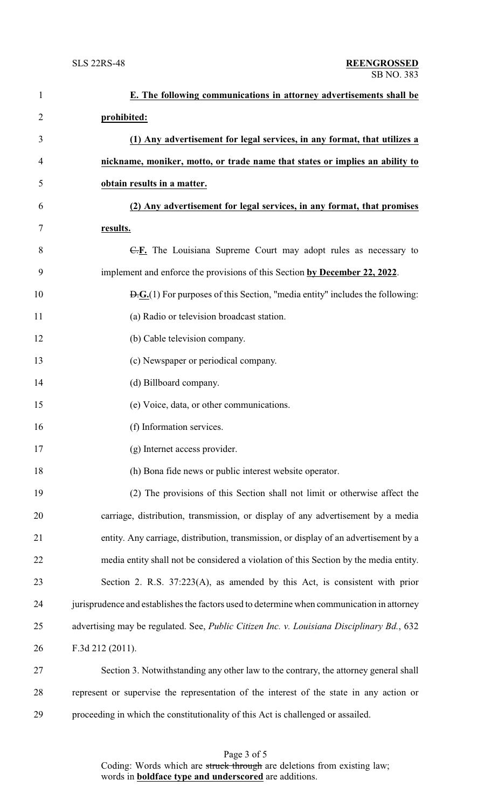| $\mathbf{1}$   | E. The following communications in attorney advertisements shall be                                        |
|----------------|------------------------------------------------------------------------------------------------------------|
| $\overline{2}$ | prohibited:                                                                                                |
| 3              | (1) Any advertisement for legal services, in any format, that utilizes a                                   |
| 4              | nickname, moniker, motto, or trade name that states or implies an ability to                               |
| 5              | obtain results in a matter.                                                                                |
| 6              | (2) Any advertisement for legal services, in any format, that promises                                     |
| 7              | results.                                                                                                   |
| 8              | $E$ . The Louisiana Supreme Court may adopt rules as necessary to                                          |
| 9              | implement and enforce the provisions of this Section by December 22, 2022.                                 |
| 10             | $\overline{D}$ . $\overline{G}$ . (1) For purposes of this Section, "media entity" includes the following: |
| 11             | (a) Radio or television broadcast station.                                                                 |
| 12             | (b) Cable television company.                                                                              |
| 13             | (c) Newspaper or periodical company.                                                                       |
| 14             | (d) Billboard company.                                                                                     |
| 15             | (e) Voice, data, or other communications.                                                                  |
| 16             | (f) Information services.                                                                                  |
| 17             | (g) Internet access provider.                                                                              |
| 18             | (h) Bona fide news or public interest website operator.                                                    |
| 19             | (2) The provisions of this Section shall not limit or otherwise affect the                                 |
| 20             | carriage, distribution, transmission, or display of any advertisement by a media                           |
| 21             | entity. Any carriage, distribution, transmission, or display of an advertisement by a                      |
| 22             | media entity shall not be considered a violation of this Section by the media entity.                      |
| 23             | Section 2. R.S. 37:223(A), as amended by this Act, is consistent with prior                                |
| 24             | jurisprudence and establishes the factors used to determine when communication in attorney                 |
| 25             | advertising may be regulated. See, Public Citizen Inc. v. Louisiana Disciplinary Bd., 632                  |
| 26             | F.3d 212 (2011).                                                                                           |
| 27             | Section 3. Notwithstanding any other law to the contrary, the attorney general shall                       |
| 28             | represent or supervise the representation of the interest of the state in any action or                    |
| 29             | proceeding in which the constitutionality of this Act is challenged or assailed.                           |

Page 3 of 5 Coding: Words which are struck through are deletions from existing law; words in **boldface type and underscored** are additions.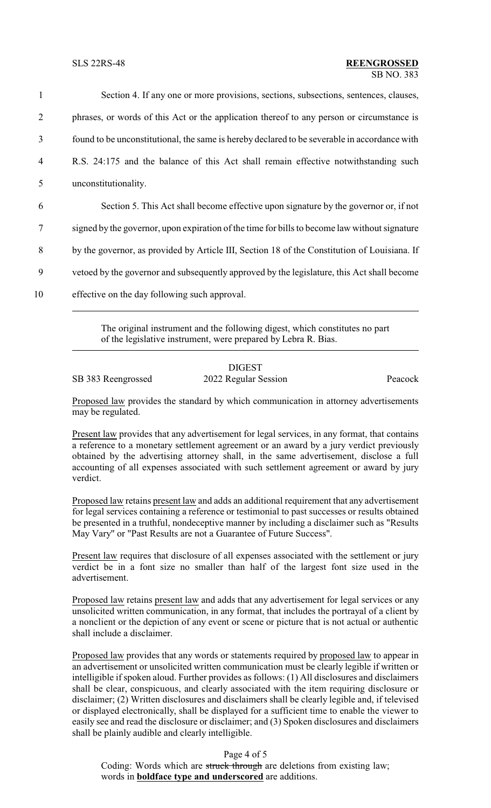Section 4. If any one or more provisions, sections, subsections, sentences, clauses, phrases, or words of this Act or the application thereof to any person or circumstance is found to be unconstitutional, the same is hereby declared to be severable in accordance with R.S. 24:175 and the balance of this Act shall remain effective notwithstanding such unconstitutionality. Section 5. This Act shall become effective upon signature by the governor or, if not signed by the governor, upon expiration of the time for bills to become law without signature

8 by the governor, as provided by Article III, Section 18 of the Constitution of Louisiana. If

9 vetoed by the governor and subsequently approved by the legislature, this Act shall become

10 effective on the day following such approval.

The original instrument and the following digest, which constitutes no part of the legislative instrument, were prepared by Lebra R. Bias.

## DIGEST SB 383 Reengrossed 2022 Regular Session Peacock

Proposed law provides the standard by which communication in attorney advertisements may be regulated.

Present law provides that any advertisement for legal services, in any format, that contains a reference to a monetary settlement agreement or an award by a jury verdict previously obtained by the advertising attorney shall, in the same advertisement, disclose a full accounting of all expenses associated with such settlement agreement or award by jury verdict.

Proposed law retains present law and adds an additional requirement that any advertisement for legal services containing a reference or testimonial to past successes or results obtained be presented in a truthful, nondeceptive manner by including a disclaimer such as "Results May Vary" or "Past Results are not a Guarantee of Future Success".

Present law requires that disclosure of all expenses associated with the settlement or jury verdict be in a font size no smaller than half of the largest font size used in the advertisement.

Proposed law retains present law and adds that any advertisement for legal services or any unsolicited written communication, in any format, that includes the portrayal of a client by a nonclient or the depiction of any event or scene or picture that is not actual or authentic shall include a disclaimer.

Proposed law provides that any words or statements required by proposed law to appear in an advertisement or unsolicited written communication must be clearly legible if written or intelligible if spoken aloud. Further provides as follows: (1) All disclosures and disclaimers shall be clear, conspicuous, and clearly associated with the item requiring disclosure or disclaimer; (2) Written disclosures and disclaimers shall be clearly legible and, if televised or displayed electronically, shall be displayed for a sufficient time to enable the viewer to easily see and read the disclosure or disclaimer; and (3) Spoken disclosures and disclaimers shall be plainly audible and clearly intelligible.

## Page 4 of 5

Coding: Words which are struck through are deletions from existing law; words in **boldface type and underscored** are additions.